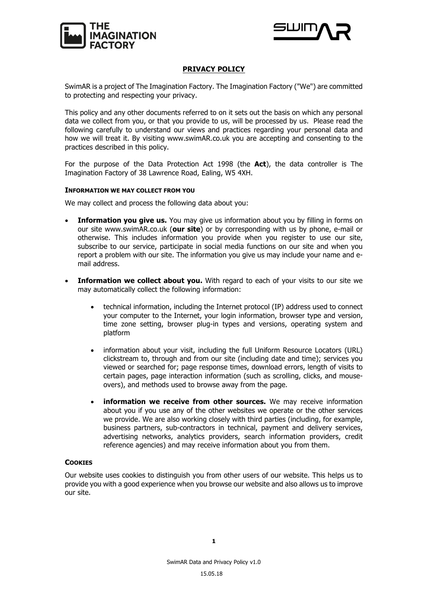



# **PRIVACY POLICY**

SwimAR is a project of The Imagination Factory. The Imagination Factory ("We") are committed to protecting and respecting your privacy.

This policy and any other documents referred to on it sets out the basis on which any personal data we collect from you, or that you provide to us, will be processed by us. Please read the following carefully to understand our views and practices regarding your personal data and how we will treat it. By visiting www.swimAR.co.uk you are accepting and consenting to the practices described in this policy.

For the purpose of the Data Protection Act 1998 (the **Act**), the data controller is The Imagination Factory of 38 Lawrence Road, Ealing, W5 4XH.

#### **INFORMATION WE MAY COLLECT FROM YOU**

We may collect and process the following data about you:

- **Information you give us.** You may give us information about you by filling in forms on our site www.swimAR.co.uk (**our site**) or by corresponding with us by phone, e-mail or otherwise. This includes information you provide when you register to use our site, subscribe to our service, participate in social media functions on our site and when you report a problem with our site. The information you give us may include your name and email address.
- **Information we collect about you.** With regard to each of your visits to our site we may automatically collect the following information:
	- technical information, including the Internet protocol (IP) address used to connect your computer to the Internet, your login information, browser type and version, time zone setting, browser plug-in types and versions, operating system and platform
	- information about your visit, including the full Uniform Resource Locators (URL) clickstream to, through and from our site (including date and time); services you viewed or searched for; page response times, download errors, length of visits to certain pages, page interaction information (such as scrolling, clicks, and mouseovers), and methods used to browse away from the page.
	- **information we receive from other sources.** We may receive information about you if you use any of the other websites we operate or the other services we provide. We are also working closely with third parties (including, for example, business partners, sub-contractors in technical, payment and delivery services, advertising networks, analytics providers, search information providers, credit reference agencies) and may receive information about you from them.

### **COOKIES**

Our website uses cookies to distinguish you from other users of our website. This helps us to provide you with a good experience when you browse our website and also allows us to improve our site.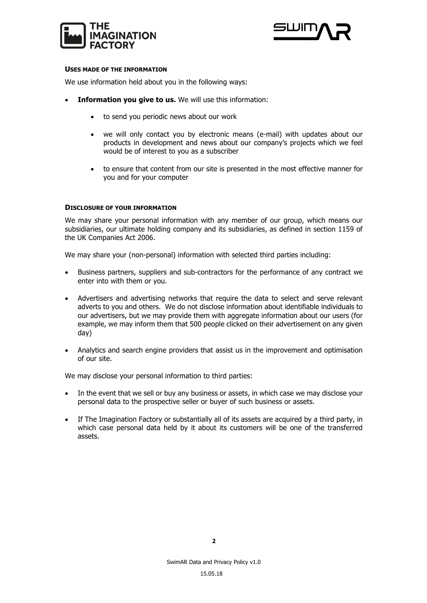



### **USES MADE OF THE INFORMATION**

We use information held about you in the following ways:

- **Information you give to us.** We will use this information:
	- to send you periodic news about our work
	- we will only contact you by electronic means (e-mail) with updates about our products in development and news about our company's projects which we feel would be of interest to you as a subscriber
	- to ensure that content from our site is presented in the most effective manner for you and for your computer

## **DISCLOSURE OF YOUR INFORMATION**

We may share your personal information with any member of our group, which means our subsidiaries, our ultimate holding company and its subsidiaries, as defined in section 1159 of the UK Companies Act 2006.

We may share your (non-personal) information with selected third parties including:

- Business partners, suppliers and sub-contractors for the performance of any contract we enter into with them or you.
- Advertisers and advertising networks that require the data to select and serve relevant adverts to you and others. We do not disclose information about identifiable individuals to our advertisers, but we may provide them with aggregate information about our users (for example, we may inform them that 500 people clicked on their advertisement on any given day)
- Analytics and search engine providers that assist us in the improvement and optimisation of our site.

We may disclose your personal information to third parties:

- In the event that we sell or buy any business or assets, in which case we may disclose your personal data to the prospective seller or buyer of such business or assets.
- If The Imagination Factory or substantially all of its assets are acquired by a third party, in which case personal data held by it about its customers will be one of the transferred assets.